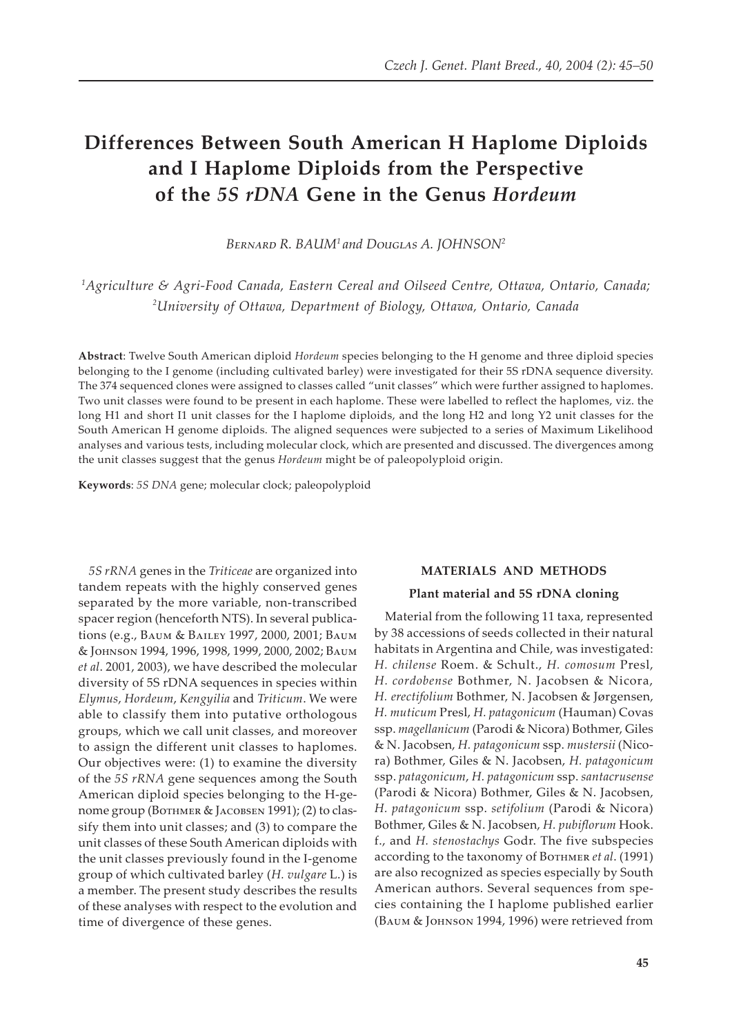# **Differences Between South American H Haplome Diploids and I Haplome Diploids from the Perspective of the** *5S rDNA* **Gene in the Genus** *Hordeum*

BERNARD R. BAUM<sup>1</sup> and Douglas A. JOHNSON<sup>2</sup>

*1 Agriculture & Agri-Food Canada, Eastern Cereal and Oilseed Centre, Ottawa, Ontario, Canada; 2 University of Ottawa, Department of Biology, Ottawa, Ontario, Canada*

**Abstract**: Twelve South American diploid *Hordeum* species belonging to the H genome and three diploid species belonging to the I genome (including cultivated barley) were investigated for their 5S rDNA sequence diversity. The 374 sequenced clones were assigned to classes called "unit classes" which were further assigned to haplomes. Two unit classes were found to be present in each haplome. These were labelled to reflect the haplomes, viz. the long H1 and short I1 unit classes for the I haplome diploids, and the long H2 and long Y2 unit classes for the South American H genome diploids. The aligned sequences were subjected to a series of Maximum Likelihood analyses and various tests, including molecular clock, which are presented and discussed. The divergences among the unit classes suggest that the genus *Hordeum* might be of paleopolyploid origin.

**Keywords**: *5S DNA* gene; molecular clock; paleopolyploid

*5S rRNA* genes in the *Triticeae* are organized into tandem repeats with the highly conserved genes separated by the more variable, non-transcribed spacer region (henceforth NTS). In several publications (e.g., BAUM & BAILEY 1997, 2000, 2001; BAUM & JOHNSON 1994, 1996, 1998, 1999, 2000, 2002; Ваим *et al*. 2001, 2003), we have described the molecular diversity of 5S rDNA sequences in species within *Elymus*, *Hordeum*, *Kengyilia* and *Triticum*. We were able to classify them into putative orthologous groups, which we call unit classes, and moreover to assign the different unit classes to haplomes. Our objectives were: (1) to examine the diversity of the *5S rRNA* gene sequences among the South American diploid species belonging to the H-genome group (Вотнмек & JACOBSEN 1991); (2) to classify them into unit classes; and (3) to compare the unit classes of these South American diploids with the unit classes previously found in the I-genome group of which cultivated barley (*H. vulgare* L.) is a member. The present study describes the results of these analyses with respect to the evolution and time of divergence of these genes.

# **MATERIALS AND METHODS**

#### **Plant material and 5S rDNA cloning**

Material from the following 11 taxa, represented by 38 accessions of seeds collected in their natural habitats in Argentina and Chile, was investigated: *H. chilense* Roem. & Schult., *H. comosum* Presl, *H. cordobense* Bothmer, N. Jacobsen & Nicora, *H. erectifolium* Bothmer, N. Jacobsen & Jørgensen, *H. muticum* Presl, *H. patagonicum* (Hauman) Covas ssp. *magellanicum* (Parodi & Nicora) Bothmer, Giles & N. Jacobsen, *H. patagonicum* ssp. *mustersii* (Nicora) Bothmer, Giles & N. Jacobsen, *H. patagonicum* ssp. *patagonicum*, *H. patagonicum* ssp. *santacrusense* (Parodi & Nicora) Bothmer, Giles & N. Jacobsen, *H. patagonicum* ssp. *setifolium* (Parodi & Nicora) Bothmer, Giles & N. Jacobsen, *H. pubiflorum* Hook. f., and *H. stenostachys* Godr. The five subspecies according to the taxonomy of BOTHMER et al. (1991) are also recognized as species especially by South American authors. Several sequences from species containing the I haplome published earlier (ВАUM & JOHNSON 1994, 1996) were retrieved from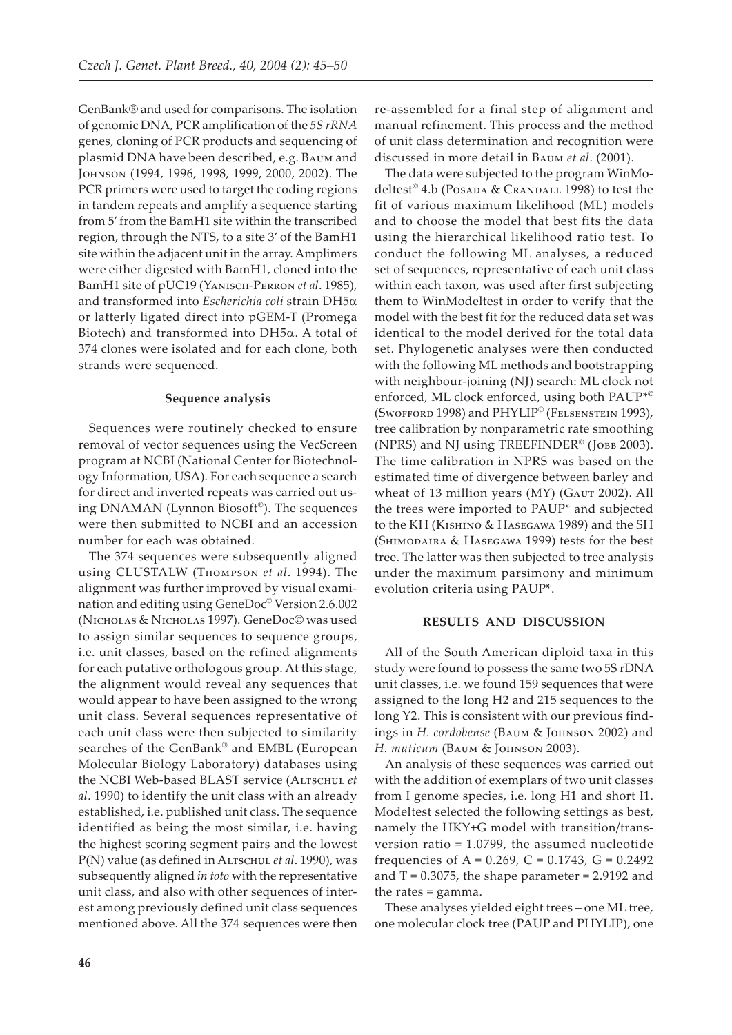GenBank® and used for comparisons. The isolation of genomic DNA, PCR amplification of the *5S rRNA* genes, cloning of PCR products and sequencing of plasmid DNA have been described, e.g. BAUM and Johnson (1994, 1996, 1998, 1999, 2000, 2002). The PCR primers were used to target the coding regions in tandem repeats and amplify a sequence starting from 5' from the BamH1 site within the transcribed region, through the NTS, to a site 3' of the BamH1 site within the adjacent unit in the array. Amplimers were either digested with BamH1, cloned into the BamH1 site of pUC19 (YANISCH-PERRON et al. 1985), and transformed into *Escherichia coli* strain DH5α or latterly ligated direct into pGEM-T (Promega Biotech) and transformed into DH5α. A total of 374 clones were isolated and for each clone, both strands were sequenced.

#### **Sequence analysis**

Sequences were routinely checked to ensure removal of vector sequences using the VecScreen program at NCBI (National Center for Biotechnology Information, USA). For each sequence a search for direct and inverted repeats was carried out using DNAMAN (Lynnon Biosoft®). The sequences were then submitted to NCBI and an accession number for each was obtained.

The 374 sequences were subsequently aligned using CLUSTALW (T������� *et al*. 1994). The alignment was further improved by visual examination and editing using GeneDoc© Version 2.6.002 (NICHOLAS & NICHOLAS 1997). GeneDoc© was used to assign similar sequences to sequence groups, i.e. unit classes, based on the refined alignments for each putative orthologous group. At this stage, the alignment would reveal any sequences that would appear to have been assigned to the wrong unit class. Several sequences representative of each unit class were then subjected to similarity searches of the GenBank® and EMBL (European Molecular Biology Laboratory) databases using the NCBI Web-based BLAST service (ALTSCHUL et *al*. 1990) to identify the unit class with an already established, i.e. published unit class. The sequence identified as being the most similar, i.e. having the highest scoring segment pairs and the lowest P(N) value (as defined in ALTSCHUL et al. 1990), was subsequently aligned *in toto* with the representative unit class, and also with other sequences of interest among previously defined unit class sequences mentioned above. All the 374 sequences were then

re-assembled for a final step of alignment and manual refinement. This process and the method of unit class determination and recognition were discussed in more detail in B��� *et al*. (2001).

The data were subjected to the program WinModeltest<sup>®</sup> 4.b (Posada & Crandall 1998) to test the fit of various maximum likelihood (ML) models and to choose the model that best fits the data using the hierarchical likelihood ratio test. To conduct the following ML analyses, a reduced set of sequences, representative of each unit class within each taxon, was used after first subjecting them to WinModeltest in order to verify that the model with the best fit for the reduced data set was identical to the model derived for the total data set. Phylogenetic analyses were then conducted with the following ML methods and bootstrapping with neighbour-joining (NJ) search: ML clock not enforced, ML clock enforced, using both PAUP\*© (SWOFFORD 1998) and PHYLIP<sup>©</sup> (FELSENSTEIN 1993), tree calibration by nonparametric rate smoothing (NPRS) and NJ using TREEFINDER<sup>©</sup> (JOBB 2003). The time calibration in NPRS was based on the estimated time of divergence between barley and wheat of 13 million years (MY) (GAUT 2002). All the trees were imported to PAUP\* and subjected to the KH (КISHINO & HASEGAWA 1989) and the SH (SHIMODAIRA & HASEGAWA 1999) tests for the best tree. The latter was then subjected to tree analysis under the maximum parsimony and minimum evolution criteria using PAUP\*.

## **RESULTS AND DISCUSSION**

All of the South American diploid taxa in this study were found to possess the same two 5S rDNA unit classes, i.e. we found 159 sequences that were assigned to the long H2 and 215 sequences to the long Y2. This is consistent with our previous findings in *H. cordobense* (ВАUМ & JOHNSON 2002) and H. muticum (BAUM & JOHNSON 2003).

An analysis of these sequences was carried out with the addition of exemplars of two unit classes from I genome species, i.e. long H1 and short I1. Modeltest selected the following settings as best, namely the HKY+G model with transition/transversion ratio = 1.0799, the assumed nucleotide frequencies of A =  $0.269$ , C =  $0.1743$ , G =  $0.2492$ and  $T = 0.3075$ , the shape parameter = 2.9192 and the rates = gamma.

These analyses yielded eight trees – one ML tree, one molecular clock tree (PAUP and PHYLIP), one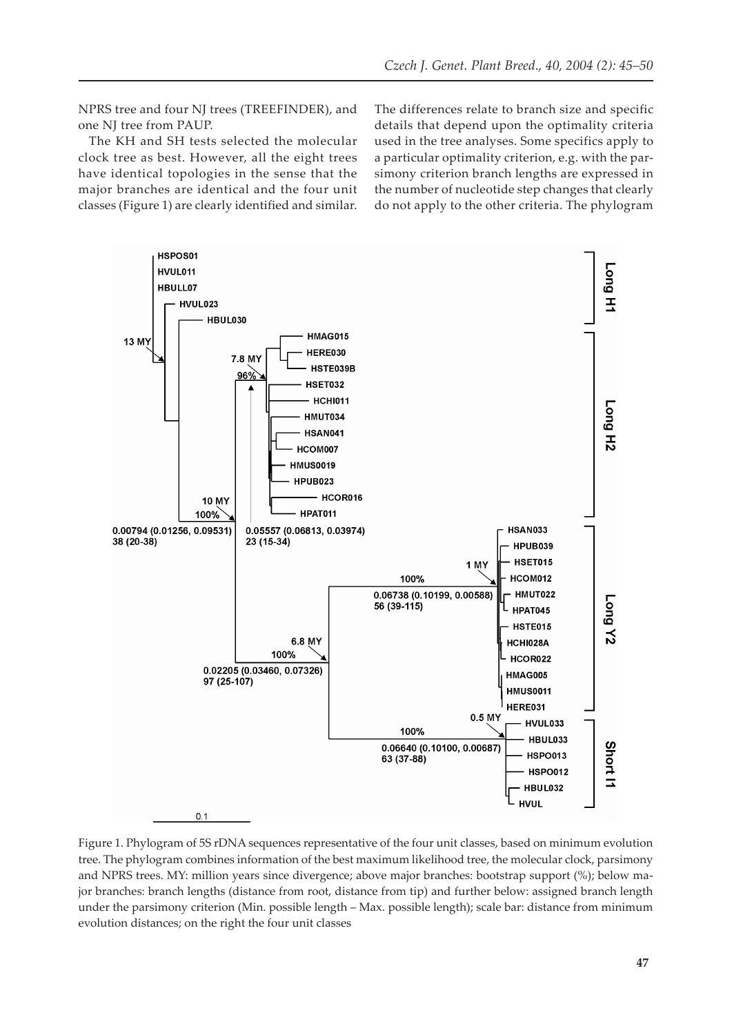NPRS tree and four NJ trees (TREEFINDER), and one NJ tree from PAUP.

The KH and SH tests selected the molecular clock tree as best. However, all the eight trees have identical topologies in the sense that the major branches are identical and the four unit classes (Figure 1) are clearly identified and similar. The differences relate to branch size and specific details that depend upon the optimality criteria used in the tree analyses. Some specifics apply to a particular optimality criterion, e.g. with the parsimony criterion branch lengths are expressed in the number of nucleotide step changes that clearly do not apply to the other criteria. The phylogram



Figure 1. Phylogram of 5S rDNA sequences representative of the four unit classes, based on minimum evolution tree. The phylogram combines information of the best maximum likelihood tree, the molecular clock, parsimony and NPRS trees. MY: million years since divergence; above major branches: bootstrap support (%); below major branches: branch lengths (distance from root, distance from tip) and further below: assigned branch length under the parsimony criterion (Min. possible length – Max. possible length); scale bar: distance from minimum evolution distances; on the right the four unit classes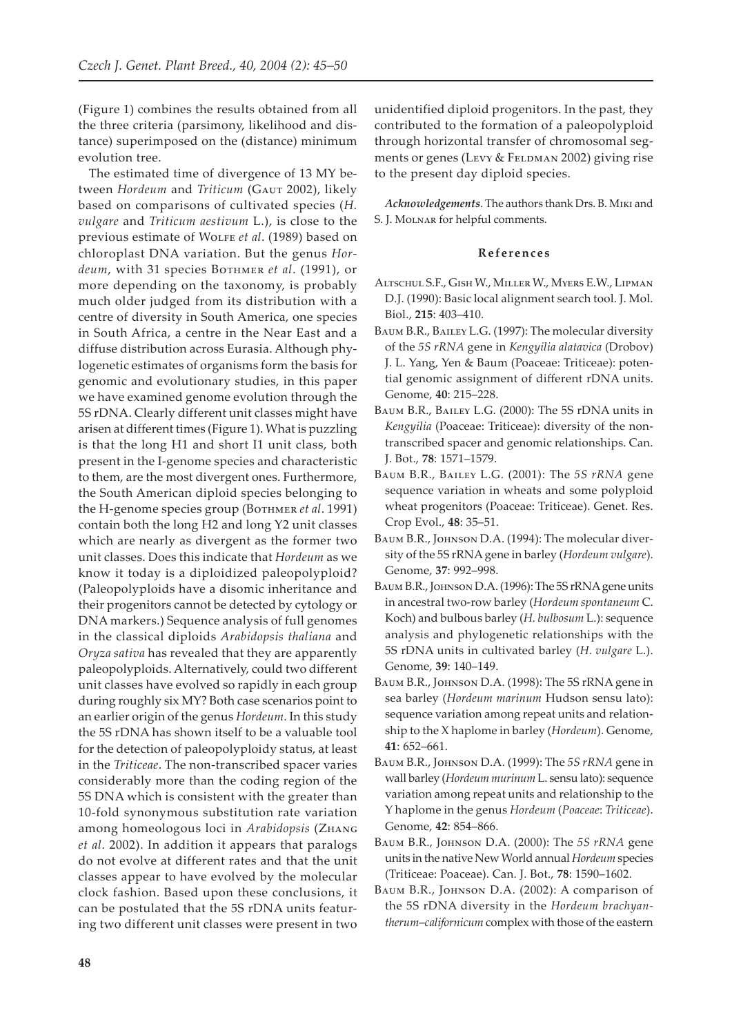(Figure 1) combines the results obtained from all the three criteria (parsimony, likelihood and distance) superimposed on the (distance) minimum evolution tree.

The estimated time of divergence of 13 MY between *Hordeum* and *Triticum* (GAUT 2002), likely based on comparisons of cultivated species (*H. vulgare* and *Triticum aestivum* L.), is close to the previous estimate of W���� *et al*. (1989) based on chloroplast DNA variation. But the genus *Hordeum*, with 31 species B������ *et al*. (1991), or more depending on the taxonomy, is probably much older judged from its distribution with a centre of diversity in South America, one species in South Africa, a centre in the Near East and a diffuse distribution across Eurasia. Although phylogenetic estimates of organisms form the basis for genomic and evolutionary studies, in this paper we have examined genome evolution through the 5S rDNA. Clearly different unit classes might have arisen at different times (Figure 1). What is puzzling is that the long H1 and short I1 unit class, both present in the I-genome species and characteristic to them, are the most divergent ones. Furthermore, the South American diploid species belonging to the H-genome species group (Вотнмек *et al.* 1991) contain both the long H2 and long Y2 unit classes which are nearly as divergent as the former two unit classes. Does this indicate that *Hordeum* as we know it today is a diploidized paleopolyploid? (Paleopolyploids have a disomic inheritance and their progenitors cannot be detected by cytology or DNA markers.) Sequence analysis of full genomes in the classical diploids *Arabidopsis thaliana* and *Oryza sativa* has revealed that they are apparently paleopolyploids. Alternatively, could two different unit classes have evolved so rapidly in each group during roughly six MY? Both case scenarios point to an earlier origin of the genus *Hordeum*. In this study the 5S rDNA has shown itself to be a valuable tool for the detection of paleopolyploidy status, at least in the *Triticeae*. The non-transcribed spacer varies considerably more than the coding region of the 5S DNA which is consistent with the greater than 10-fold synonymous substitution rate variation among homeologous loci in *Arabidopsis* (ZHANG *et al*. 2002). In addition it appears that paralogs do not evolve at different rates and that the unit classes appear to have evolved by the molecular clock fashion. Based upon these conclusions, it can be postulated that the 5S rDNA units featuring two different unit classes were present in two unidentified diploid progenitors. In the past, they contributed to the formation of a paleopolyploid through horizontal transfer of chromosomal segments or genes (LEVY & FELDMAN 2002) giving rise to the present day diploid species.

Acknowledgements. The authors thank Drs. B. MIKI and S. J. MOLNAR for helpful comments.

## **R e f e r e n c e s**

- ALTSCHUL S.F., GISH W., MILLER W., MYERS E.W., LIPMAN D.J. (1990): Basic local alignment search tool. J. Mol. Biol., **215**: 403–410.
- BAUM B.R., BAILEY L.G. (1997): The molecular diversity of the *5S rRNA* gene in *Kengyilia alatavica* (Drobov) J. L. Yang, Yen & Baum (Poaceae: Triticeae): potential genomic assignment of different rDNA units. Genome, **40**: 215–228.
- BAUM B.R., BAILEY L.G. (2000): The 5S rDNA units in *Kengyilia* (Poaceae: Triticeae): diversity of the nontranscribed spacer and genomic relationships. Can. J. Bot., **78**: 1571–1579.
- BAUM B.R., BAILEY L.G. (2001): The 5S rRNA gene sequence variation in wheats and some polyploid wheat progenitors (Poaceae: Triticeae). Genet. Res. Crop Evol., **48**: 35–51.
- BAUM B.R., JOHNSON D.A. (1994): The molecular diversity of the 5S rRNA gene in barley (*Hordeum vulgare*). Genome, **37**: 992–998.
- BAUM B.R., JOHNSON D.A. (1996): The 5S rRNA gene units in ancestral two-row barley (*Hordeum spontaneum* C. Koch) and bulbous barley (*H. bulbosum* L.): sequence analysis and phylogenetic relationships with the 5S rDNA units in cultivated barley (*H. vulgare* L.). Genome, **39**: 140–149.
- BAUM B.R., JOHNSON D.A. (1998): The 5S rRNA gene in sea barley (*Hordeum marinum* Hudson sensu lato): sequence variation among repeat units and relationship to the X haplome in barley (*Hordeum*). Genome, **41**: 652–661.
- BAUM B.R., JOHNSON D.A. (1999): The 5S rRNA gene in wall barley (*Hordeum murinum* L. sensu lato): sequence variation among repeat units and relationship to the Y haplome in the genus *Hordeum* (*Poaceae*: *Triticeae*). Genome, **42**: 854–866.
- BAUM B.R., JOHNSON D.A. (2000): The 5S rRNA gene units in the native New World annual *Hordeum* species (Triticeae: Poaceae). Can. J. Bot., **78**: 1590–1602.
- BAUM B.R., JOHNSON D.A. (2002): A comparison of the 5S rDNA diversity in the *Hordeum brachyantherum*–*californicum* complex with those of the eastern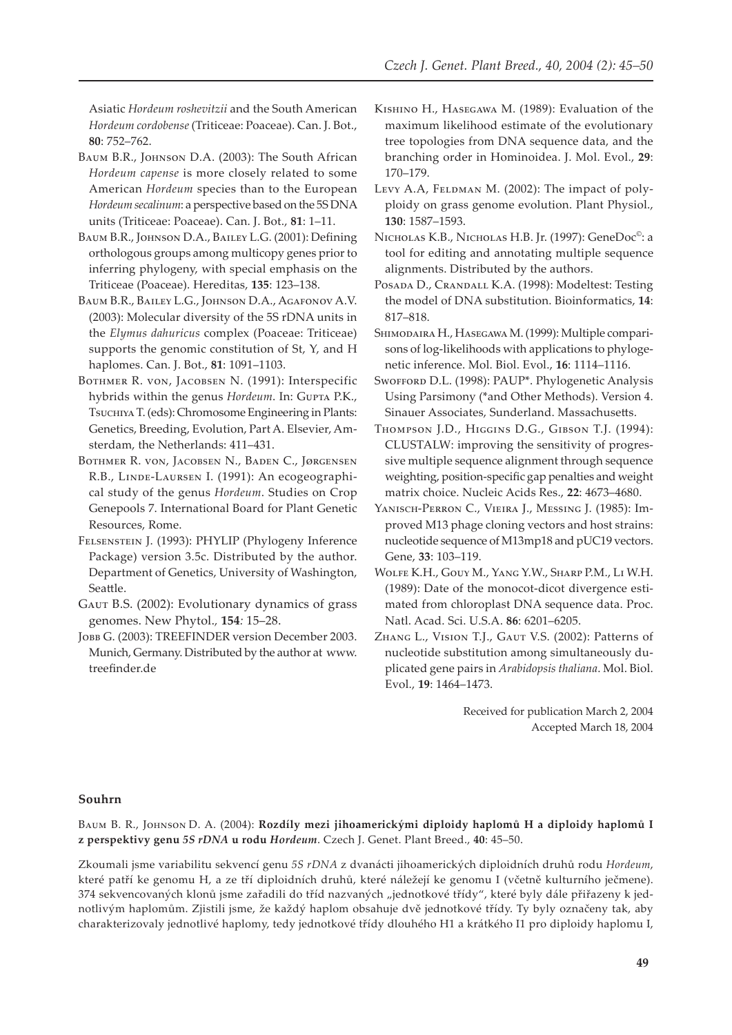Asiatic Hordeum roshevitzii and the South American Hordeum cordobense (Triticeae: Poaceae). Can. J. Bot., 80: 752-762.

- BAUM B.R., JOHNSON D.A. (2003): The South African Hordeum capense is more closely related to some American Hordeum species than to the European Hordeum secalinum: a perspective based on the 5S DNA units (Triticeae: Poaceae). Can. J. Bot., 81: 1-11.
- BAUM B.R., JOHNSON D.A., BAILEY L.G. (2001): Defining orthologous groups among multicopy genes prior to inferring phylogeny, with special emphasis on the Triticeae (Poaceae). Hereditas, 135: 123-138.

BAUM B.R., BAILEY L.G., JOHNSON D.A., AGAFONOV A.V. (2003): Molecular diversity of the 5S rDNA units in the Elymus dahuricus complex (Poaceae: Triticeae) supports the genomic constitution of St, Y, and H haplomes. Can. J. Bot., 81: 1091-1103.

- BOTHMER R. VON, JACOBSEN N. (1991): Interspecific hybrids within the genus Hordeum. In: GUPTA P.K., Tsucниха T. (eds): Chromosome Engineering in Plants: Genetics, Breeding, Evolution, Part A. Elsevier, Amsterdam, the Netherlands: 411-431.
- BOTHMER R. VON, JACOBSEN N., BADEN C., JØRGENSEN R.B., LINDE-LAURSEN I. (1991): An ecogeographical study of the genus *Hordeum*. Studies on Crop Genepools 7. International Board for Plant Genetic Resources, Rome.
- FELSENSTEIN J. (1993): PHYLIP (Phylogeny Inference Package) version 3.5c. Distributed by the author. Department of Genetics, University of Washington, Seattle.
- GAUT B.S. (2002): Evolutionary dynamics of grass genomes. New Phytol., 154: 15-28.
- Јовв G. (2003): TREEFINDER version December 2003. Munich, Germany. Distributed by the author at www. treefinder.de
- KISHINO H., HASEGAWA M. (1989): Evaluation of the maximum likelihood estimate of the evolutionary tree topologies from DNA sequence data, and the branching order in Hominoidea. J. Mol. Evol., 29:  $170 - 179.$
- LEVY A.A, FELDMAN M. (2002): The impact of polyploidy on grass genome evolution. Plant Physiol., 130: 1587-1593.
- NICHOLAS K.B., NICHOLAS H.B. Jr. (1997): GeneDoc<sup>®</sup>: a tool for editing and annotating multiple sequence alignments. Distributed by the authors.
- POSADA D., CRANDALL K.A. (1998): Modeltest: Testing the model of DNA substitution. Bioinformatics, 14: 817-818.
- SHIMODAIRA H., HASEGAWA M. (1999): Multiple comparisons of log-likelihoods with applications to phylogenetic inference. Mol. Biol. Evol., 16: 1114-1116.
- SWOFFORD D.L. (1998): PAUP\*. Phylogenetic Analysis Using Parsimony (\*and Other Methods). Version 4. Sinauer Associates, Sunderland. Massachusetts.
- THOMPSON J.D., HIGGINS D.G., GIBSON T.J. (1994): CLUSTALW: improving the sensitivity of progressive multiple sequence alignment through sequence weighting, position-specific gap penalties and weight matrix choice. Nucleic Acids Res., 22: 4673-4680.
- YANISCH-PERRON C., VIEIRA J., MESSING J. (1985): Improved M13 phage cloning vectors and host strains: nucleotide sequence of M13mp18 and pUC19 vectors. Gene, 33: 103-119.
- WOLFE K.H., GOUY M., YANG Y.W., SHARP P.M., LI W.H. (1989): Date of the monocot-dicot divergence estimated from chloroplast DNA sequence data. Proc. Natl. Acad. Sci. U.S.A. 86: 6201-6205.
- ZHANG L., VISION T.J., GAUT V.S. (2002): Patterns of nucleotide substitution among simultaneously duplicated gene pairs in Arabidopsis thaliana. Mol. Biol. Evol., 19: 1464-1473.

Received for publication March 2, 2004 Accepted March 18, 2004

## Souhrn

BAUM B. R., JOHNSON D. A. (2004): Rozdíly mezi jihoamerickými diploidy haplomů H a diploidy haplomů I z perspektivy genu 5S rDNA u rodu Hordeum. Czech J. Genet. Plant Breed., 40: 45-50.

Zkoumali jsme variabilitu sekvencí genu 5S rDNA z dvanácti jihoamerických diploidních druhů rodu Hordeum, které patří ke genomu H, a ze tří diploidních druhů, které náležejí ke genomu I (včetně kulturního ječmene). 374 sekvencovaných klonů jsme zařadili do tříd nazvaných "jednotkové třídy", které byly dále přiřazeny k jednotlivým haplomům. Zjistili jsme, že každý haplom obsahuje dvě jednotkové třídy. Ty byly označeny tak, aby charakterizovaly jednotlivé haplomy, tedy jednotkové třídy dlouhého H1 a krátkého I1 pro diploidy haplomu I,